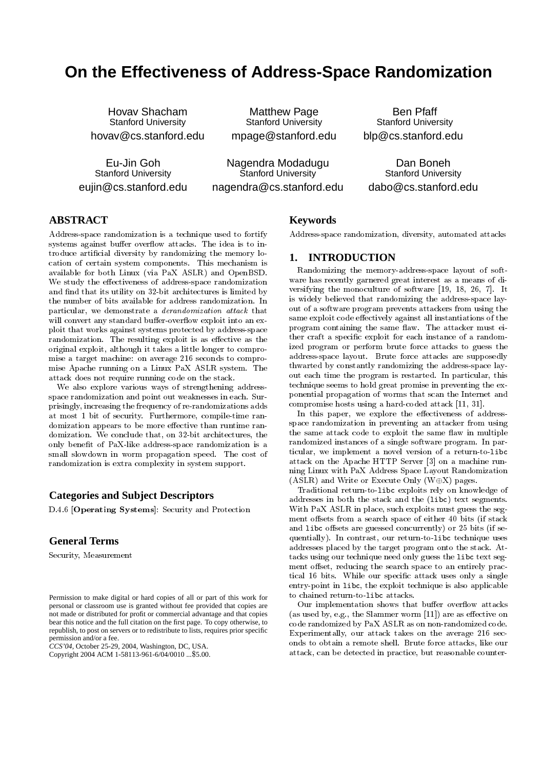# **On the Effectiveness of Address-Space Randomization**

Hovav Shacham Stanford University hovav@cs.stanford.edu

Eu-Jin Goh Stanford University eujin@cs.stanford.edu

Matthew Page Stanford University mpage@stanford.edu

Nagendra Modadugu Stanford University nagendra@cs.stanford.edu

Ben Pfaff Stanford University blp@cs.stanford.edu

Dan Boneh Stanford University dabo@cs.stanford.edu

# **ABSTRACT**

Address-space randomization is a technique used to fortify systems against buffer overflow attacks. The idea is to introduce articial diversity by randomizing the memory location of certain system components. This mechanism is available for both Linux (via PaX ASLR) and OpenBSD. We study the effectiveness of address-space randomization and find that its utility on 32-bit architectures is limited by the number of bits available for address randomization. In particular, we demonstrate a derandomization attack that will convert any standard buffer-overflow exploit into an exploit that works against systems protected by address-space randomization. The resulting exploit is as effective as the original exploit, although it takes a little longer to compromise a target machine: on average 216 seconds to compromise Apache running on a Linux PaX ASLR system. The attack does not require running code on the stack.

We also explore various ways of strengthening addressspace randomization and point out weaknesses in each. Surprisingly, increasing the frequency of re-randomizations adds at most 1 bit of security. Furthermore, compile-time randomization appears to be more effective than runtime randomization. We conclude that, on 32-bit architectures, the only benet of PaX-like address-space randomization is a small slowdown in worm propagation speed. The cost of randomization is extra complexity in system support.

# **Categories and Subject Descriptors**

D.4.6 [Operating Systems]: Security and Protection

## **General Terms**

Security, Measurement

*CCS'04,* October 25-29, 2004, Washington, DC, USA.

Copyright 2004 ACM 1-58113-961-6/04/0010 ...\$5.00.

# **Keywords**

Address-space randomization, diversity, automated attacks

## **1. INTRODUCTION**

Randomizing the memory-address-space layout of software has recently garnered great interest as a means of diversifying the monoculture of software [19, 18, 26, 7]. It is widely believed that randomizing the address-space layout of a software program prevents attackers from using the same exploit code effectively against all instantiations of the program containing the same flaw. The attacker must either craft a specic exploit for each instance of a randomized program or perform brute force attacks to guess the address-space layout. Brute force attacks are supposedly thwarted by constantly randomizing the address-space layout each time the program is restarted. In particular, this technique seems to hold great promise in preventing the exponential propagation of worms that scan the Internet and compromise hosts using a hard-coded attack [11, 31].

In this paper, we explore the effectiveness of addressspace randomization in preventing an attacker from using the same attack code to exploit the same flaw in multiple randomized instances of a single software program. In particular, we implement a novel version of a return-to-libc attack on the Apache HTTP Server [3] on a machine running Linux with PaX Address Space Layout Randomization (ASLR) and Write or Execute Only (W $\oplus$ X) pages.

Traditional return-to-libc exploits rely on knowledge of addresses in both the stack and the (libc) text segments. With PaX ASLR in place, such exploits must guess the segment offsets from a search space of either 40 bits (if stack and libc offsets are guessed concurrently) or 25 bits (if sequentially). In contrast, our return-to-libc technique uses addresses placed by the target program onto the stack. Attacks using our technique need only guess the libc text segment offset, reducing the search space to an entirely practical 16 bits. While our specic attack uses only a single entry-point in libc, the exploit technique is also applicable to chained return-to-libc attacks.

Our implementation shows that buffer overflow attacks (as used by, e.g., the Slammer worm  $[11]$ ) are as effective on code randomized by PaX ASLR as on non-randomized code. Experimentally, our attack takes on the average 216 seconds to obtain a remote shell. Brute force attacks, like our attack, can be detected in practice, but reasonable counter-

Permission to make digital or hard copies of all or part of this work for personal or classroom use is granted without fee provided that copies are not made or distributed for profit or commercial advantage and that copies bear this notice and the full citation on the first page. To copy otherwise, to republish, to post on servers or to redistribute to lists, requires prior specific permission and/or a fee.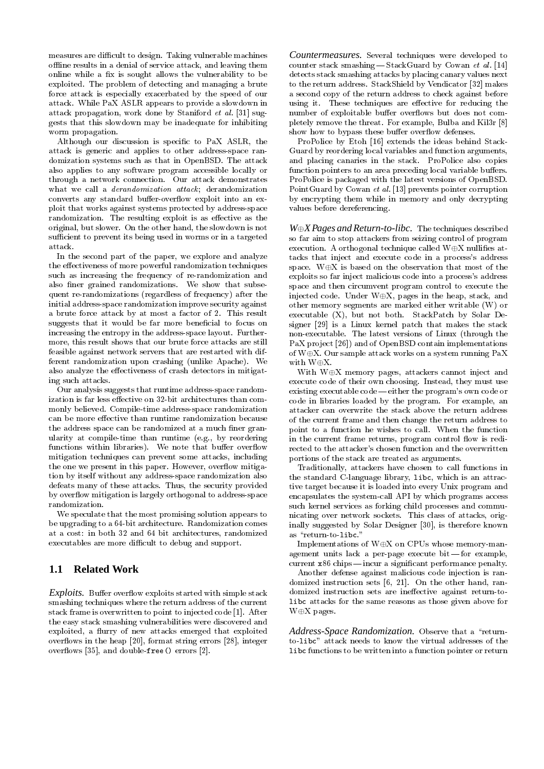measures are difficult to design. Taking vulnerable machines offline results in a denial of service attack, and leaving them online while a fix is sought allows the vulnerability to be exploited. The problem of detecting and managing a brute force attack is especially exacerbated by the speed of our attack. While PaX ASLR appears to provide a slowdown in attack propagation, work done by Staniford et al. [31] suggests that this slowdown may be inadequate for inhibiting worm propagation.

Although our discussion is specic to PaX ASLR, the attack is generic and applies to other address-space randomization systems such as that in OpenBSD. The attack also applies to any software program accessible locally or through a network connection. Our attack demonstrates what we call a derandomization attack; derandomization converts any standard buffer-overflow exploit into an exploit that works against systems protected by address-space randomization. The resulting exploit is as effective as the original, but slower. On the other hand, the slowdown is not sufficient to prevent its being used in worms or in a targeted attack.

In the second part of the paper, we explore and analyze the effectiveness of more powerful randomization techniques such as increasing the frequency of re-randomization and also finer grained randomizations. We show that subsequent re-randomizations (regardless of frequency) after the initial address-space randomization improve security against a brute force attack by at most a factor of 2. This result suggests that it would be far more beneficial to focus on increasing the entropy in the address-space layout. Furthermore, this result shows that our brute force attacks are still feasible against network servers that are restarted with different randomization upon crashing (unlike Apache). We also analyze the effectiveness of crash detectors in mitigating such attacks.

Our analysis suggests that runtime address-space randomization is far less effective on 32-bit architectures than commonly believed. Compile-time address-space randomization can be more effective than runtime randomization because the address space can be randomized at a much finer granularity at compile-time than runtime (e.g., by reordering functions within libraries). We note that buffer overflow mitigation techniques can prevent some attacks, including the one we present in this paper. However, overflow mitigation by itself without any address-space randomization also defeats many of these attacks. Thus, the security provided by overflow mitigation is largely orthogonal to address-space randomization.

We speculate that the most promising solution appears to be upgrading to a 64-bit architecture. Randomization comes at a cost: in both 32 and 64 bit architectures, randomized executables are more difficult to debug and support.

# **1.1 Related Work**

Exploits. Buffer overflow exploits started with simple stack smashing techniques where the return address of the current stack frame is overwritten to point to injected code [1]. After the easy stack smashing vulnerabilities were discovered and exploited, a flurry of new attacks emerged that exploited overflows in the heap [20], format string errors [28], integer over
ows [35], and double-free() errors [2].

*Countermeasures.* Several techniques were developed to counter stack smashing  $-$  StackGuard by Cowan et al. [14] detects stack smashing attacks by placing canary values next to the return address. StackShield by Vendicator [32] makes a second copy of the return address to check against before using it. These techniques are effective for reducing the number of exploitable buffer overflows but does not completely remove the threat. For example, Bulba and Kil3r [8] show how to bypass these buffer overflow defenses.

ProPolice by Etoh [16] extends the ideas behind Stack-Guard by reordering local variables and function arguments, and placing canaries in the stack. ProPolice also copies function pointers to an area preceding local variable buffers. ProPolice is packaged with the latest versions of OpenBSD. PointGuard by Cowan et al. [13] prevents pointer corruption by encrypting them while in memory and only decrypting values before dereferencing.

*WX Pages and Return-to-libc.* The techniques described so far aim to stop attackers from seizing control of program execution. A orthogonal technique called  $W \oplus X$  nullifies attacks that inject and execute code in a process's address space. W $\oplus X$  is based on the observation that most of the exploits so far inject malicious code into a process's address space and then circumvent program control to execute the injected code. Under  $W \oplus X$ , pages in the heap, stack, and other memory segments are marked either writable (W) or executable (X), but not both. StackPatch by Solar Designer [29] is a Linux kernel patch that makes the stack non-executable. The latest versions of Linux (through the PaX project [26]) and of OpenBSD contain implementations of  $W \oplus X$ . Our sample attack works on a system running PaX with  $W\oplus X$ .

With  $W\oplus X$  memory pages, attackers cannot inject and execute code of their own choosing. Instead, they must use existing executable code - either the program's own code or code in libraries loaded by the program. For example, an attacker can overwrite the stack above the return address of the current frame and then change the return address to point to a function he wishes to call. When the function in the current frame returns, program control flow is redirected to the attacker's chosen function and the overwritten portions of the stack are treated as arguments.

Traditionally, attackers have chosen to call functions in the standard C-language library, libc, which is an attractive target because it is loaded into every Unix program and encapsulates the system-call API by which programs access such kernel services as forking child processes and communicating over network sockets. This class of attacks, originally suggested by Solar Designer [30], is therefore known as "return-to-libc."

Implementations of  $W\oplus X$  on CPUs whose memory-management units lack a per-page execute bit-for example, current x86 chips—incur a significant performance penalty.

Another defense against malicious code injection is randomized instruction sets [6, 21]. On the other hand, randomized instruction sets are ineffective against return-tolibc attacks for the same reasons as those given above for  $W \oplus X$  pages.

Address-Space Randomization. Observe that a "returnto-libc" attack needs to know the virtual addresses of the libc functions to be written into a function pointer or return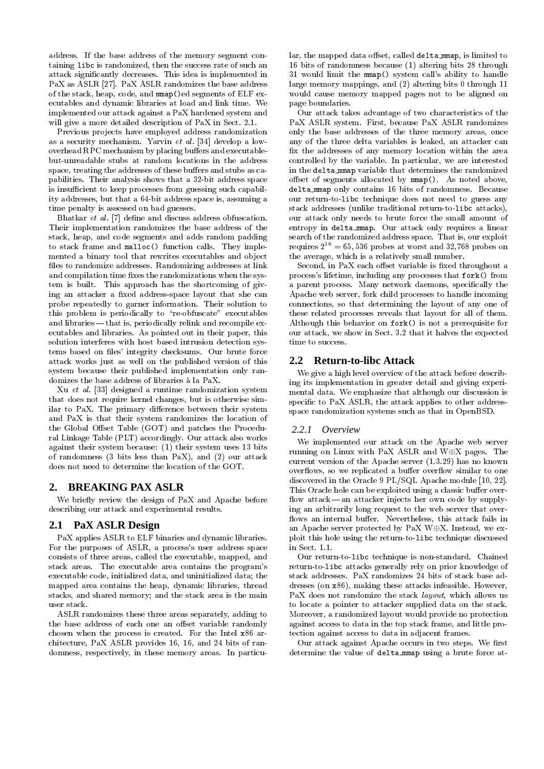address. If the base address of the memory segment containing libc is randomized, then the success rate of such an attack signicantly decreases. This idea is implemented in PaX as ASLR [27]. PaX ASLR randomizes the base address of the stack, heap, code, and mmap()ed segments of ELF executables and dynamic libraries at load and link time. We implemented our attack against a PaX hardened system and will give a more detailed description of PaX in Sect. 2.1.

Previous projects have employed address randomization as a security mechanism. Yarvin et al. [34] develop a lowoverhead RPC mechanism by placing buffers and executablebut-unreadable stubs at random locations in the address space, treating the addresses of these buffers and stubs as capabilities. Their analysis shows that a 32-bit address space is insufficient to keep processes from guessing such capability addresses, but that a 64-bit address space is, assuming a time penalty is assessed on bad guesses.

Bhatkar *et al.* [7] define and discuss address obfuscation. Their implementation randomizes the base address of the stack, heap, and code segments and adds random padding to stack frame and malloc() function calls. They implemented a binary tool that rewrites executables and object files to randomize addresses. Randomizing addresses at link and compilation time fixes the randomizations when the system is built. This approach has the shortcoming of giving an attacker a fixed address-space layout that she can probe repeatedly to garner information. Their solution to this problem is periodically to "re-obfuscate" executables and libraries—that is, periodically relink and recompile executables and libraries. As pointed out in their paper, this solution interferes with host based intrusion detection systems based on files' integrity checksums. Our brute force attack works just as well on the published version of this system because their published implementation only randomizes the base address of libraries a la PaX.

Xu et al. [33] designed a runtime randomization system that does not require kernel changes, but is otherwise similar to PaX. The primary difference between their system and PaX is that their system randomizes the location of the Global Offset Table (GOT) and patches the Procedural Linkage Table (PLT) accordingly. Our attack also works against their system because: (1) their system uses 13 bits of randomness (3 bits less than PaX), and (2) our attack does not need to determine the location of the GOT.

## **2. BREAKING PAX ASLR**

We briefly review the design of PaX and Apache before describing our attack and experimental results.

## **2.1 PaX ASLR Design**

PaX applies ASLR to ELF binaries and dynamic libraries. For the purposes of ASLR, a process's user address space consists of three areas, called the executable, mapped, and stack areas. The executable area contains the program's executable code, initialized data, and uninitialized data; the mapped area contains the heap, dynamic libraries, thread stacks, and shared memory; and the stack area is the main user stack.

ASLR randomizes these three areas separately, adding to the base address of each one an offset variable randomly chosen when the process is created. For the Intel x86 architecture, PaX ASLR provides 16, 16, and 24 bits of randomness, respectively, in these memory areas. In particular, the mapped data offset, called delta mmap, is limited to 16 bits of randomness because (1) altering bits 28 through 31 would limit the mmap() system call's ability to handle large memory mappings, and (2) altering bits 0 through 11 would cause memory mapped pages not to be aligned on page boundaries.

Our attack takes advantage of two characteristics of the PaX ASLR system. First, because PaX ASLR randomizes only the base addresses of the three memory areas, once any of the three delta variables is leaked, an attacker can x the addresses of any memory location within the area controlled by the variable. In particular, we are interested in the delta mmap variable that determines the randomized offset of segments allocated by  $mmap()$ . As noted above, delta mmap only contains 16 bits of randomness. Because our return-to-libc technique does not need to guess any stack addresses (unlike traditional return-to-libc attacks), our attack only needs to brute force the small amount of entropy in delta mmap. Our attack only requires a linear search of the randomized address space. That is, our exploit requires  $2^{16} = 65,536$  probes at worst and 32,768 probes on the average, which is a relatively small number.

Second, in PaX each offset variable is fixed throughout a process's lifetime, including any processes that fork() from a parent process. Many network daemons, specically the Apache web server, fork child processes to handle incoming connections, so that determining the layout of any one of these related processes reveals that layout for all of them. Although this behavior on fork() is not a prerequisite for our attack, we show in Sect. 3.2 that it halves the expected time to success.

## **2.2 Return-to-libc Attack**

We give a high level overview of the attack before describing its implementation in greater detail and giving experimental data. We emphasize that although our discussion is specific to PaX ASLR, the attack applies to other addressspace randomization systems such as that in OpenBSD.

#### *2.2.1 Overview*

We implemented our attack on the Apache web server running on Linux with PaX ASLR and  $W \oplus X$  pages. The current version of the Apache server (1.3.29) has no known overflows, so we replicated a buffer overflow similar to one discovered in the Oracle 9 PL/SQL Apache module [10, 22]. This Oracle hole can be exploited using a classic buffer overflow attack — an attacker injects her own code by supplying an arbitrarily long request to the web server that over flows an internal buffer. Nevertheless, this attack fails in an Apache server protected by PaX W $\oplus$ X. Instead, we exploit this hole using the return-to-libc technique discussed in Sect. 1.1.

Our return-to-libc technique is non-standard. Chained return-to-libc attacks generally rely on prior knowledge of stack addresses. PaX randomizes 24 bits of stack base addresses (on x86), making these attacks infeasible. However, PaX does not randomize the stack layout, which allows us to locate a pointer to attacker supplied data on the stack. Moreover, a randomized layout would provide no protection against access to data in the top stack frame, and little protection against access to data in adjacent frames.

Our attack against Apache occurs in two steps. We first determine the value of delta mmap using a brute force at-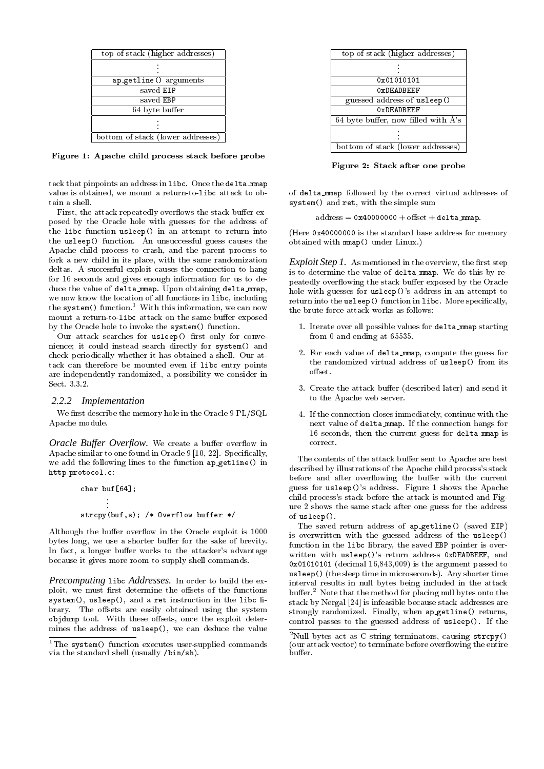| top of stack (higher addresses)   |  |  |  |
|-----------------------------------|--|--|--|
|                                   |  |  |  |
| ap_getline() arguments            |  |  |  |
| saved EIP                         |  |  |  |
| saved EBP                         |  |  |  |
| 64 byte buffer                    |  |  |  |
|                                   |  |  |  |
| bottom of stack (lower addresses) |  |  |  |

Figure 1: Apache child process stack before probe

tack that pinpoints an address in libc. Once the delta mmap value is obtained, we mount a return-to-libc attack to obtain a shell.

First, the attack repeatedly overflows the stack buffer exposed by the Oracle hole with guesses for the address of the libc function usleep() in an attempt to return into the usleep() function. An unsuccessful guess causes the Apache child process to crash, and the parent process to fork a new child in its place, with the same randomization deltas. A successful exploit causes the connection to hang for 16 seconds and gives enough information for us to deduce the value of delta mmap. Upon obtaining delta mmap, we now know the location of all functions in libc, including the system() function.<sup>1</sup> With this information, we can now mount a return-to-libc attack on the same buffer exposed by the Oracle hole to invoke the system() function.

Our attack searches for usleep() first only for convenience; it could instead search directly for system() and check periodically whether it has obtained a shell. Our attack can therefore be mounted even if libc entry points are independently randomized, a possibility we consider in Sect. 3.3.2.

#### *2.2.2 Implementation*

We first describe the memory hole in the Oracle 9 PL/SQL Apache module.

*Oracle Buffer Overflow.* We create a buffer overflow in Apache similar to one found in Oracle 9 [10, 22]. Specifically, we add the following lines to the function ap getline() in http protocol.c:

char buf[64]; . . . strcpy(buf,s); /\* Overflow buffer \*/

Although the buffer overflow in the Oracle exploit is 1000 bytes long, we use a shorter buffer for the sake of brevity. In fact, a longer buffer works to the attacker's advantage because it gives more room to supply shell commands.

*Precomputing* libc *Addresses.* In order to build the exploit, we must first determine the offsets of the functions system(), usleep(), and a ret instruction in the libc library. The offsets are easily obtained using the system objdump tool. With these offsets, once the exploit determines the address of usleep(), we can deduce the value

| top of stack (higher addresses)     |  |  |  |
|-------------------------------------|--|--|--|
|                                     |  |  |  |
|                                     |  |  |  |
| 0x01010101                          |  |  |  |
| $0x$ DFADBFFF                       |  |  |  |
| guessed address of usleep()         |  |  |  |
| OxDEADBEEF                          |  |  |  |
| 64 byte buffer, now filled with A's |  |  |  |
|                                     |  |  |  |
|                                     |  |  |  |
| bottom of stack (lower addresses)   |  |  |  |

Figure 2: Stack after one probe

of delta mmap followed by the correct virtual addresses of system() and ret, with the simple sum

 $address = 0x40000000 + offset + delta_mmap.$ 

(Here 0x40000000 is the standard base address for memory obtained with mmap() under Linux.)

*Exploit Step 1.* As mentioned in the overview, the first step is to determine the value of delta mmap. We do this by repeatedly overflowing the stack buffer exposed by the Oracle hole with guesses for usleep()'s address in an attempt to return into the usleep() function in libc. More specifically, the brute force attack works as follows:

- 1. Iterate over all possible values for delta mmap starting from 0 and ending at 65535.
- 2. For each value of delta mmap, compute the guess for the randomized virtual address of usleep() from its offset.
- 3. Create the attack buffer (described later) and send it to the Apache web server.
- 4. If the connection closes immediately, continue with the next value of delta mmap. If the connection hangs for 16 seconds, then the current guess for delta mmap is correct.

The contents of the attack buffer sent to Apache are best described by illustrations of the Apache child process's stack before and after overflowing the buffer with the current guess for usleep()'s address. Figure 1 shows the Apache child process's stack before the attack is mounted and Figure 2 shows the same stack after one guess for the address of usleep().

The saved return address of ap\_getline() (saved EIP) is overwritten with the guessed address of the usleep() function in the libc library, the saved EBP pointer is overwritten with usleep()'s return address 0xDEADBEEF, and 0x01010101 (decimal 16,843,009) is the argument passed to usleep() (the sleep time in microseconds). Any shorter time interval results in null bytes being included in the attack buffer.<sup>2</sup> Note that the method for placing null bytes onto the stack by Nergal [24] is infeasible because stack addresses are strongly randomized. Finally, when ap getline() returns, control passes to the guessed address of usleep(). If the

<sup>&</sup>lt;sup>1</sup>The system() function executes user-supplied commands via the standard shell (usually /bin/sh).

 $2$ Null bytes act as C string terminators, causing strcpy() (our attack vector) to terminate before overflowing the entire buffer.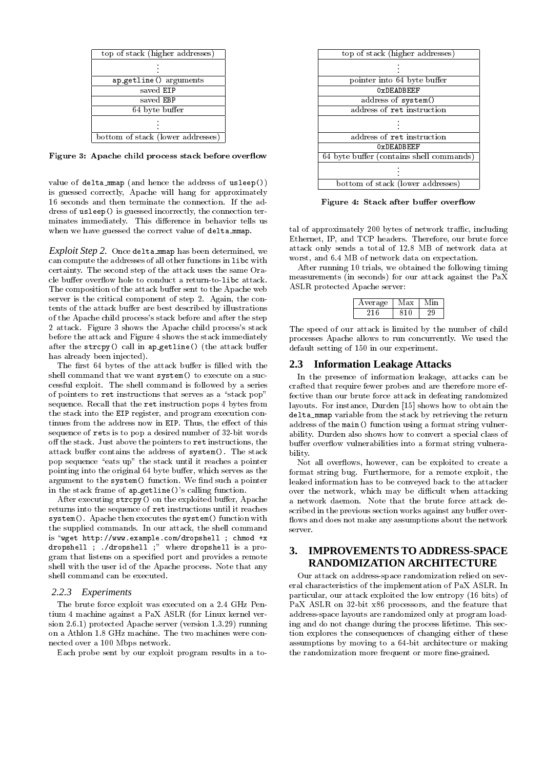| top of stack (higher addresses)   |  |  |  |
|-----------------------------------|--|--|--|
|                                   |  |  |  |
| ap_getline() arguments            |  |  |  |
| saved EIP                         |  |  |  |
| saved EBP                         |  |  |  |
| 64 byte buffer                    |  |  |  |
|                                   |  |  |  |
| bottom of stack (lower addresses) |  |  |  |

Figure 3: Apache child process stack before overflow

value of delta mmap (and hence the address of usleep()) is guessed correctly, Apache will hang for approximately 16 seconds and then terminate the connection. If the address of usleep() is guessed incorrectly, the connection terminates immediately. This difference in behavior tells us when we have guessed the correct value of delta\_mmap.

*Exploit Step 2.* Once delta mmap has been determined, we can compute the addresses of all other functions in libc with certainty. The second step of the attack uses the same Oracle buffer overflow hole to conduct a return-to-libc attack. The composition of the attack buffer sent to the Apache web server is the critical component of step 2. Again, the contents of the attack buffer are best described by illustrations of the Apache child process's stack before and after the step 2 attack. Figure 3 shows the Apache child process's stack before the attack and Figure 4 shows the stack immediately after the strcpy() call in ap\_getline() (the attack buffer has already been injected).

The first 64 bytes of the attack buffer is filled with the shell command that we want system() to execute on a successful exploit. The shell command is followed by a series of pointers to ret instructions that serves as a "stack pop" sequence. Recall that the ret instruction pops 4 bytes from the stack into the EIP register, and program execution continues from the address now in EIP. Thus, the effect of this sequence of rets is to pop a desired number of 32-bit words off the stack. Just above the pointers to ret instructions, the attack buffer contains the address of system(). The stack pop sequence "eats up" the stack until it reaches a pointer pointing into the original 64 byte buffer, which serves as the argument to the system() function. We find such a pointer in the stack frame of ap getline()'s calling function.

After executing  $\text{stropy}()$  on the exploited buffer, Apache returns into the sequence of ret instructions until it reaches system(). Apache then executes the system() function with the supplied commands. In our attack, the shell command is "wget  $http://www.example.com/dropshell$ ; chmod +x dropshell ; ./dropshell ;" where dropshell is a program that listens on a specied port and provides a remote shell with the user id of the Apache process. Note that any shell command can be executed.

#### *2.2.3 Experiments*

The brute force exploit was executed on a 2.4 GHz Pentium 4 machine against a PaX ASLR (for Linux kernel version 2.6.1) protected Apache server (version 1.3.29) running on a Athlon 1.8 GHz machine. The two machines were connected over a 100 Mbps network.

Each probe sent by our exploit program results in a to-

| top of stack (higher addresses)          |  |  |  |
|------------------------------------------|--|--|--|
|                                          |  |  |  |
|                                          |  |  |  |
| pointer into 64 byte buffer              |  |  |  |
| OxDEADBEEF                               |  |  |  |
| address of system()                      |  |  |  |
| address of ret instruction               |  |  |  |
|                                          |  |  |  |
|                                          |  |  |  |
| address of ret instruction               |  |  |  |
| OxDEADBEEF                               |  |  |  |
| 64 byte buffer (contains shell commands) |  |  |  |
|                                          |  |  |  |
|                                          |  |  |  |
| bottom of stack (lower addresses)        |  |  |  |

Figure 4: Stack after buffer overflow

tal of approximately 200 bytes of network traffic, including Ethernet, IP, and TCP headers. Therefore, our brute force attack only sends a total of 12.8 MB of network data at worst, and 6.4 MB of network data on expectation.

After running 10 trials, we obtained the following timing measurements (in seconds) for our attack against the PaX ASLR protected Apache server:

| Average | lax |  |
|---------|-----|--|
| . וי    | 810 |  |

The speed of our attack is limited by the number of child processes Apache allows to run concurrently. We used the default setting of 150 in our experiment.

#### **2.3 Information Leakage Attacks**

In the presence of information leakage, attacks can be crafted that require fewer probes and are therefore more effective than our brute force attack in defeating randomized layouts. For instance, Durden [15] shows how to obtain the delta\_mmap variable from the stack by retrieving the return address of the main() function using a format string vulnerability. Durden also shows how to convert a special class of buffer overflow vulnerabilities into a format string vulnerability.

Not all overflows, however, can be exploited to create a format string bug. Furthermore, for a remote exploit, the leaked information has to be conveyed back to the attacker over the network, which may be difficult when attacking a network daemon. Note that the brute force attack described in the previous section works against any buffer overflows and does not make any assumptions about the network server.

# **3. IMPROVEMENTS TO ADDRESS-SPACE RANDOMIZATION ARCHITECTURE**

Our attack on address-space randomization relied on several characteristics of the implementation of PaX ASLR. In particular, our attack exploited the low entropy (16 bits) of PaX ASLR on 32-bit x86 processors, and the feature that address-space layouts are randomized only at program loading and do not change during the process lifetime. This section explores the consequences of changing either of these assumptions by moving to a 64-bit architecture or making the randomization more frequent or more fine-grained.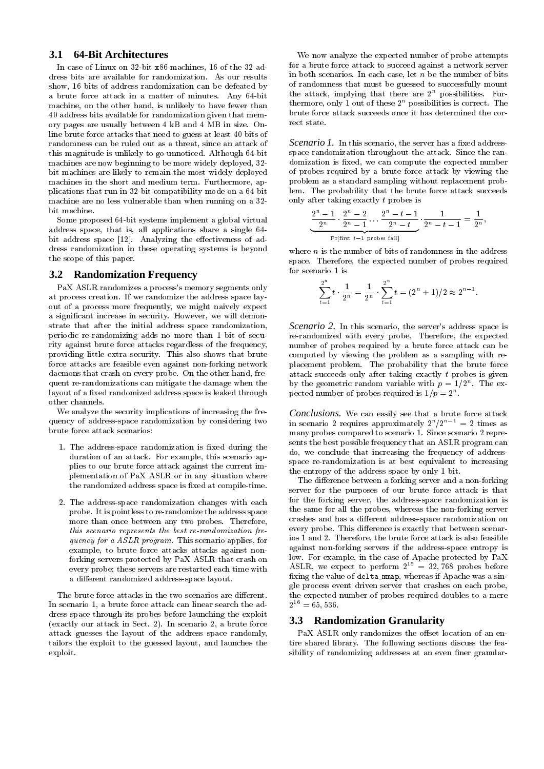## **3.1 64-Bit Architectures**

In case of Linux on 32-bit x86 machines, 16 of the 32 address bits are available for randomization. As our results show, 16 bits of address randomization can be defeated by a brute force attack in a matter of minutes. Any 64-bit machine, on the other hand, is unlikely to have fewer than 40 address bits available for randomization given that memory pages are usually between 4 kB and 4 MB in size. Online brute force attacks that need to guess at least 40 bits of randomness can be ruled out as a threat, since an attack of this magnitude is unlikely to go unnoticed. Although 64-bit machines are now beginning to be more widely deployed, 32 bit machines are likely to remain the most widely deployed machines in the short and medium term. Furthermore, applications that run in 32-bit compatibility mode on a 64-bit machine are no less vulnerable than when running on a 32 bit machine.

Some proposed 64-bit systems implement a global virtual address space, that is, all applications share a single 64 bit address space  $[12]$ . Analyzing the effectiveness of address randomization in these operating systems is beyond the scope of this paper.

## **3.2 Randomization Frequency**

PaX ASLR randomizes a process's memory segments only at process creation. If we randomize the address space layout of a process more frequently, we might naively expect a signicant increase in security. However, we will demonstrate that after the initial address space randomization, periodic re-randomizing adds no more than 1 bit of security against brute force attacks regardless of the frequency, providing little extra security. This also shows that brute force attacks are feasible even against non-forking network daemons that crash on every probe. On the other hand, frequent re-randomizations can mitigate the damage when the layout of a fixed randomized address space is leaked through other channels.

We analyze the security implications of increasing the frequency of address-space randomization by considering two brute force attack scenarios:

- 1. The address-space randomization is fixed during the duration of an attack. For example, this scenario applies to our brute force attack against the current implementation of PaX ASLR or in any situation where the randomized address space is fixed at compile-time.
- 2. The address-space randomization changes with each probe. It is pointless to re-randomize the address space more than once between any two probes. Therefore, this scenario represents the best re-randomization frequency for a ASLR program. This scenario applies, for example, to brute force attacks attacks against nonforking servers protected by PaX ASLR that crash on every probe; these servers are restarted each time with a different randomized address-space layout.

The brute force attacks in the two scenarios are different. In scenario 1, a brute force attack can linear search the address space through its probes before launching the exploit (exactly our attack in Sect. 2). In scenario 2, a brute force attack guesses the layout of the address space randomly, tailors the exploit to the guessed layout, and launches the exploit.

We now analyze the expected number of probe attempts for a brute force attack to succeed against a network server in both scenarios. In each case, let  $n$  be the number of bits of randomness that must be guessed to successfully mount the attack, implying that there are  $2<sup>n</sup>$  possibilities. Furthermore, only 1 out of these  $2<sup>n</sup>$  possibilities is correct. The brute force attack succeeds once it has determined the correct state.

*Scenario 1*. In this scenario, the server has a fixed addressspace randomization throughout the attack. Since the randomization is fixed, we can compute the expected number of probes required by a brute force attack by viewing the problem as a standard sampling without replacement problem. The probability that the brute force attack succeeds only after taking exactly t probes is

$$
\underbrace{\frac{2^n-1}{2^n}\cdot\frac{2^n-2}{2^n-1}\dots\frac{2^n-t-1}{2^n-t}}_{\text{Pr}\{\text{first }t-1 \text{ probes fail}\}}\cdot\underbrace{1}{2^n-t-1}=\frac{1}{2^n},
$$

where  $n$  is the number of bits of randomness in the address space. Therefore, the expected number of probes required for scenario 1 is

$$
\sum_{t=1}^{2^n} t \cdot \frac{1}{2^n} = \frac{1}{2^n} \cdot \sum_{t=1}^{2^n} t = (2^n + 1)/2 \approx 2^{n-1}.
$$

*Scenario 2.* In this scenario, the server's address space is re-randomized with every probe. Therefore, the expected number of probes required by a brute force attack can be computed by viewing the problem as a sampling with replacement problem. The probability that the brute force attack succeeds only after taking exactly  $t$  probes is given by the geometric random variable with  $p = 1/2^n$ . The expected number of probes required is  $1/p = 2^n$ .

*Conclusions.* We can easily see that a brute force attack in scenario 2 requires approximately  $2^n/2^{n-1} = 2$  times as many probes compared to scenario 1. Since scenario 2 represents the best possible frequency that an ASLR program can do, we conclude that increasing the frequency of addressspace re-randomization is at best equivalent to increasing the entropy of the address space by only 1 bit.

The difference between a forking server and a non-forking server for the purposes of our brute force attack is that for the forking server, the address-space randomization is the same for all the probes, whereas the non-forking server crashes and has a different address-space randomization on every probe. This difference is exactly that between scenarios 1 and 2. Therefore, the brute force attack is also feasible against non-forking servers if the address-space entropy is low. For example, in the case of Apache protected by PaX ASLR, we expect to perform  $2^{15} = 32,768$  probes before fixing the value of delta mmap, whereas if Apache was a single process event driven server that crashes on each probe, the expected number of probes required doubles to a mere  $2^{16} = 65,536.$ 

#### **3.3 Randomization Granularity**

PaX ASLR only randomizes the offset location of an entire shared library. The following sections discuss the feasibility of randomizing addresses at an even finer granular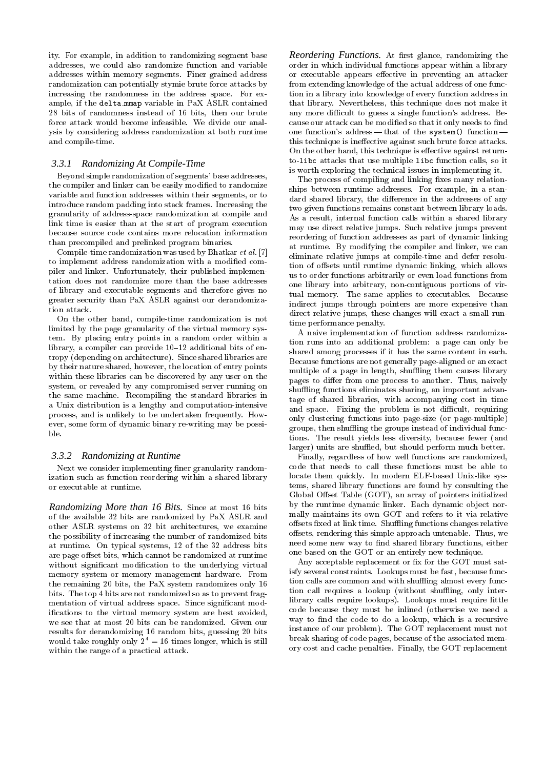ity. For example, in addition to randomizing segment base addresses, we could also randomize function and variable addresses within memory segments. Finer grained address randomization can potentially stymie brute force attacks by increasing the randomness in the address space. For example, if the delta mmap variable in PaX ASLR contained 28 bits of randomness instead of 16 bits, then our brute force attack would become infeasible. We divide our analysis by considering address randomization at both runtime and compile-time.

#### *3.3.1 Randomizing At Compile-Time*

Beyond simple randomization of segments' base addresses, the compiler and linker can be easily modified to randomize variable and function addresses within their segments, or to introduce random padding into stack frames. Increasing the granularity of address-space randomization at compile and link time is easier than at the start of program execution because source code contains more relocation information than precompiled and prelinked program binaries.

Compile-time randomization was used by Bhatkar *et al.* [7] to implement address randomization with a modified compiler and linker. Unfortunately, their published implementation does not randomize more than the base addresses of library and executable segments and therefore gives no greater security than PaX ASLR against our derandomization attack.

On the other hand, compile-time randomization is not limited by the page granularity of the virtual memory system. By placing entry points in a random order within a library, a compiler can provide  $10-12$  additional bits of entropy (depending on architecture). Since shared libraries are by their nature shared, however, the location of entry points within these libraries can be discovered by any user on the system, or revealed by any compromised server running on the same machine. Recompiling the standard libraries in a Unix distribution is a lengthy and computation-intensive process, and is unlikely to be undertaken frequently. However, some form of dynamic binary re-writing may be possible.

#### *3.3.2 Randomizing at Runtime*

Next we consider implementing finer granularity randomization such as function reordering within a shared library or executable at runtime.

*Randomizing More than 16 Bits.* Since at most 16 bits of the available 32 bits are randomized by PaX ASLR and other ASLR systems on 32 bit architectures, we examine the possibility of increasing the number of randomized bits at runtime. On typical systems, 12 of the 32 address bits are page offset bits, which cannot be randomized at runtime without significant modification to the underlying virtual memory system or memory management hardware. From the remaining 20 bits, the PaX system randomizes only 16 bits. The top 4 bits are not randomized so as to prevent fragmentation of virtual address space. Since signicant modications to the virtual memory system are best avoided, we see that at most 20 bits can be randomized. Given our results for derandomizing 16 random bits, guessing 20 bits would take roughly only  $2^4 = 16$  times longer, which is still within the range of a practical attack.

Reordering Functions. At first glance, randomizing the order in which individual functions appear within a library or executable appears effective in preventing an attacker from extending knowledge of the actual address of one function in a library into knowledge of every function address in that library. Nevertheless, this technique does not make it any more difficult to guess a single function's address. Because our attack can be modified so that it only needs to find one function's address-that of the system() functionthis technique is ineffective against such brute force attacks. On the other hand, this technique is effective against returnto-libc attacks that use multiple libc function calls, so it is worth exploring the technical issues in implementing it.

The process of compiling and linking fixes many relationships between runtime addresses. For example, in a standard shared library, the difference in the addresses of any two given functions remains constant between library loads. As a result, internal function calls within a shared library may use direct relative jumps. Such relative jumps prevent reordering of function addresses as part of dynamic linking at runtime. By modifying the compiler and linker, we can eliminate relative jumps at compile-time and defer resolution of offsets until runtime dynamic linking, which allows us to order functions arbitrarily or even load functions from one library into arbitrary, non-contiguous portions of virtual memory. The same applies to executables. Because indirect jumps through pointers are more expensive than direct relative jumps, these changes will exact a small runtime performance penalty.

A naive implementation of function address randomization runs into an additional problem: a page can only be shared among processes if it has the same content in each. Because functions are not generally page-aligned or an exact multiple of a page in length, shuffling them causes library pages to differ from one process to another. Thus, naively shuffling functions eliminates sharing, an important advantage of shared libraries, with accompanying cost in time and space. Fixing the problem is not difficult, requiring only clustering functions into page-size (or page-multiple) groups, then shuffling the groups instead of individual functions. The result yields less diversity, because fewer (and larger) units are shuffled, but should perform much better.

Finally, regardless of how well functions are randomized, code that needs to call these functions must be able to locate them quickly. In modern ELF-based Unix-like systems, shared library functions are found by consulting the Global Offset Table (GOT), an array of pointers initialized by the runtime dynamic linker. Each dynamic object normally maintains its own GOT and refers to it via relative offsets fixed at link time. Shuffling functions changes relative offsets, rendering this simple approach untenable. Thus, we need some new way to find shared library functions, either one based on the GOT or an entirely new technique.

Any acceptable replacement or fix for the GOT must satisfy several constraints. Lookups must be fast, because function calls are common and with shuffling almost every function call requires a lookup (without shuffling, only interlibrary calls require lookups). Lookups must require little code because they must be inlined (otherwise we need a way to find the code to do a lookup, which is a recursive instance of our problem). The GOT replacement must not break sharing of code pages, because of the associated memory cost and cache penalties. Finally, the GOT replacement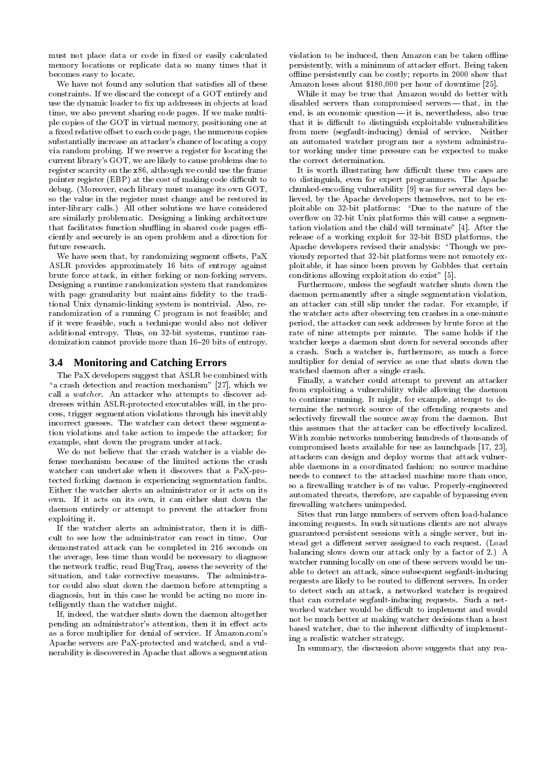must not place data or code in fixed or easily calculated memory locations or replicate data so many times that it becomes easy to locate.

We have not found any solution that satisfies all of these constraints. If we discard the concept of a GOT entirely and use the dynamic loader to fix up addresses in objects at load time, we also prevent sharing code pages. If we make multiple copies of the GOT in virtual memory, positioning one at a fixed relative offset to each code page, the numerous copies substantially increase an attacker's chance of locating a copy via random probing. If we reserve a register for locating the current library's GOT, we are likely to cause problems due to register scarcity on the x86, although we could use the frame pointer register (EBP) at the cost of making code difficult to debug. (Moreover, each library must manage its own GOT, so the value in the register must change and be restored in inter-library calls.) All other solutions we have considered are similarly problematic. Designing a linking architecture that facilitates function shuffling in shared code pages efficiently and securely is an open problem and a direction for future research.

We have seen that, by randomizing segment offsets, PaX ASLR provides approximately 16 bits of entropy against brute force attack, in either forking or non-forking servers. Designing a runtime randomization system that randomizes with page granularity but maintains fidelity to the traditional Unix dynamic-linking system is nontrivial. Also, rerandomization of a running C program is not feasible; and if it were feasible, such a technique would also not deliver additional entropy. Thus, on 32-bit systems, runtime randomization cannot provide more than 16-20 bits of entropy.

### **3.4 Monitoring and Catching Errors**

The PaX developers suggest that ASLR be combined with "a crash detection and reaction mechanism" [27], which we call a watcher. An attacker who attempts to discover addresses within ASLR-protected executables will, in the process, trigger segmentation violations through his inevitably incorrect guesses. The watcher can detect these segmentation violations and take action to impede the attacker; for example, shut down the program under attack.

We do not believe that the crash watcher is a viable defense mechanism because of the limited actions the crash watcher can undertake when it discovers that a PaX-protected forking daemon is experiencing segmentation faults. Either the watcher alerts an administrator or it acts on its own. If it acts on its own, it can either shut down the daemon entirely or attempt to prevent the attacker from exploiting it.

If the watcher alerts an administrator, then it is difficult to see how the administrator can react in time. Our demonstrated attack can be completed in 216 seconds on the average, less time than would be necessary to diagnose the network traffic, read BugTraq, assess the severity of the situation, and take corrective measures. The administrator could also shut down the daemon before attempting a diagnosis, but in this case he would be acting no more intelligently than the watcher might.

If, indeed, the watcher shuts down the daemon altogether pending an administrator's attention, then it in effect acts as a force multiplier for denial of service. If Amazon.com's Apache servers are PaX-protected and watched, and a vulnerability is discovered in Apache that allows a segmentation

violation to be induced, then Amazon can be taken offline persistently, with a minimum of attacker effort. Being taken offline persistently can be costly; reports in 2000 show that Amazon loses about \$180,000 per hour of downtime [25].

While it may be true that Amazon would do better with disabled servers than compromised servers — that, in the end, is an economic question- it is, nevertheless, also true that it is difficult to distinguish exploitable vulnerabilities from mere (segfault-inducing) denial of service. Neither an automated watcher program nor a system administrator working under time pressure can be expected to make the correct determination.

It is worth illustrating how difficult these two cases are to distinguish, even for expert programmers. The Apache chunked-encoding vulnerability [9] was for several days believed, by the Apache developers themselves, not to be exploitable on 32-bit platforms: "Due to the nature of the over
ow on 32-bit Unix platforms this will cause a segmentation violation and the child will terminate" [4]. After the release of a working exploit for 32-bit BSD platforms, the Apache developers revised their analysis: "Though we previously reported that 32-bit platforms were not remotely exploitable, it has since been proven by Gobbles that certain conditions allowing exploitation do exist" [5].

Furthermore, unless the segfault watcher shuts down the daemon permanently after a single segmentation violation, an attacker can still slip under the radar. For example, if the watcher acts after observing ten crashes in a one-minute period, the attacker can seek addresses by brute force at the rate of nine attempts per minute. The same holds if the watcher keeps a daemon shut down for several seconds after a crash. Such a watcher is, furthermore, as much a force multiplier for denial of service as one that shuts down the watched daemon after a single crash.

Finally, a watcher could attempt to prevent an attacker from exploiting a vulnerability while allowing the daemon to continue running. It might, for example, attempt to determine the network source of the offending requests and selectively firewall the source away from the daemon. But this assumes that the attacker can be effectively localized. With zombie networks numbering hundreds of thousands of compromised hosts available for use as launchpads [17, 23], attackers can design and deploy worms that attack vulnerable daemons in a coordinated fashion: no source machine needs to connect to the attacked machine more than once, so a firewalling watcher is of no value. Properly-engineered automated threats, therefore, are capable of bypassing even firewalling watchers unimpeded.

Sites that run large numbers of servers often load-balance incoming requests. In such situations clients are not always guaranteed persistent sessions with a single server, but instead get a different server assigned to each request. (Load balancing slows down our attack only by a factor of 2.) A watcher running locally on one of these servers would be unable to detect an attack, since subsequent segfault-inducing requests are likely to be routed to different servers. In order to detect such an attack, a networked watcher is required that can correlate segfault-inducing requests. Such a networked watcher would be difficult to implement and would not be much better at making watcher decisions than a host based watcher, due to the inherent difficulty of implementing a realistic watcher strategy.

In summary, the discussion above suggests that any rea-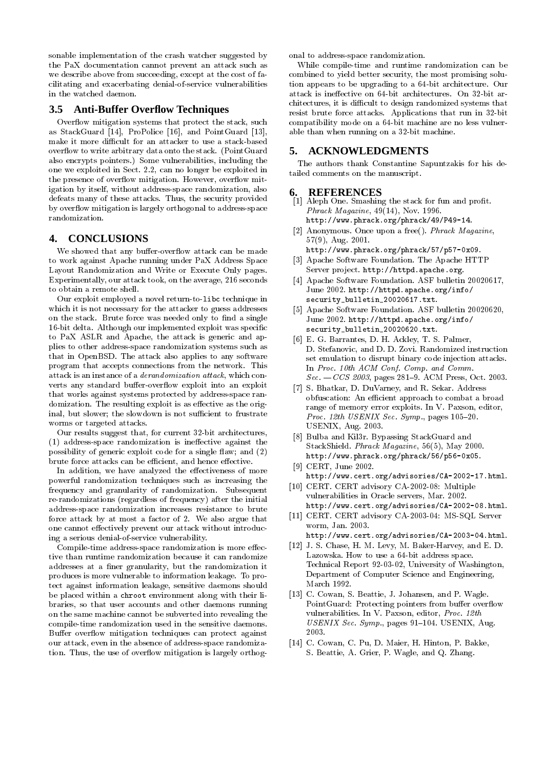sonable implementation of the crash watcher suggested by the PaX documentation cannot prevent an attack such as we describe above from succeeding, except at the cost of facilitating and exacerbating denial-of-service vulnerabilities in the watched daemon.

## **3.5 Anti-Buffer Overflow Techniques**

Overflow mitigation systems that protect the stack, such as StackGuard [14], ProPolice [16], and PointGuard [13], make it more difficult for an attacker to use a stack-based over
ow to write arbitrary data onto the stack. (PointGuard also encrypts pointers.) Some vulnerabilities, including the one we exploited in Sect. 2.2, can no longer be exploited in the presence of overflow mitigation. However, overflow mitigation by itself, without address-space randomization, also defeats many of these attacks. Thus, the security provided by overflow mitigation is largely orthogonal to address-space randomization.

## **4. CONCLUSIONS**

We showed that any buffer-overflow attack can be made to work against Apache running under PaX Address Space Layout Randomization and Write or Execute Only pages. Experimentally, our attack took, on the average, 216 seconds to obtain a remote shell.

Our exploit employed a novel return-to-libc technique in which it is not necessary for the attacker to guess addresses on the stack. Brute force was needed only to find a single 16-bit delta. Although our implemented exploit was specic to PaX ASLR and Apache, the attack is generic and applies to other address-space randomization systems such as that in OpenBSD. The attack also applies to any software program that accepts connections from the network. This attack is an instance of a derandomization attack, which converts any standard buffer-overflow exploit into an exploit that works against systems protected by address-space randomization. The resulting exploit is as effective as the original, but slower; the slowdown is not sufficient to frustrate worms or targeted attacks.

Our results suggest that, for current 32-bit architectures,  $(1)$  address-space randomization is ineffective against the possibility of generic exploit code for a single flaw; and  $(2)$ brute force attacks can be efficient, and hence effective.

In addition, we have analyzed the effectiveness of more powerful randomization techniques such as increasing the frequency and granularity of randomization. Subsequent re-randomizations (regardless of frequency) after the initial address-space randomization increases resistance to brute force attack by at most a factor of 2. We also argue that one cannot effectively prevent our attack without introducing a serious denial-of-service vulnerability.

Compile-time address-space randomization is more effective than runtime randomization because it can randomize addresses at a finer granularity, but the randomization it produces is more vulnerable to information leakage. To protect against information leakage, sensitive daemons should be placed within a chroot environment along with their libraries, so that user accounts and other daemons running on the same machine cannot be subverted into revealing the compile-time randomization used in the sensitive daemons. Buffer overflow mitigation techniques can protect against our attack, even in the absence of address-space randomization. Thus, the use of overflow mitigation is largely orthogonal to address-space randomization.

While compile-time and runtime randomization can be combined to yield better security, the most promising solution appears to be upgrading to a 64-bit architecture. Our attack is ineffective on 64-bit architectures. On 32-bit architectures, it is difficult to design randomized systems that resist brute force attacks. Applications that run in 32-bit compatibility mode on a 64-bit machine are no less vulnerable than when running on a 32-bit machine.

## **5. ACKNOWLEDGMENTS**

The authors thank Constantine Sapuntzakis for his detailed comments on the manuscript.

#### **6. REFERENCES**

- [1] Aleph One. Smashing the stack for fun and profit. Phrack Magazine, 49(14), Nov. 1996. http://www.phrack.org/phrack/49/P49-14.
- [2] Anonymous. Once upon a free(). Phrack Magazine, 57(9), Aug. 2001.
	- http://www.phrack.org/phrack/57/p57-0x09.
- [3] Apache Software Foundation. The Apache HTTP Server project. http://httpd.apache.org.
- [4] Apache Software Foundation. ASF bulletin 20020617. June 2002. http://httpd.apache.org/info/ security\_bulletin\_20020617.txt.
- [5] Apache Software Foundation. ASF bulletin 20020620, June 2002. http://httpd.apache.org/info/ security\_bulletin\_20020620.txt.
- [6] E. G. Barrantes, D. H. Ackley, T. S. Palmer, D. Stefanovic, and D. D. Zovi. Randomized instruction set emulation to disrupt binary code injection attacks. In Proc. 10th ACM Conf. Comp. and Comm.  $Sec. - CCS 2003$ , pages 281-9. ACM Press, Oct. 2003.
- [7] S. Bhatkar, D. DuVarney, and R. Sekar. Address obfuscation: An efficient approach to combat a broad range of memory error exploits. In V. Paxson, editor, Proc. 12th USENIX Sec. Symp., pages  $105-20$ . USENIX, Aug. 2003.
- [8] Bulba and Kil3r. Bypassing StackGuard and StackShield. Phrack Magazine, 56(5), May 2000. http://www.phrack.org/phrack/56/p56-0x05.
- [9] CERT, June 2002. http://www.cert.org/advisories/CA-2002-17.html.
- [10] CERT. CERT advisory CA-2002-08: Multiple vulnerabilities in Oracle servers, Mar. 2002. http://www.cert.org/advisories/CA-2002-08.html.
- [11] CERT. CERT advisory CA-2003-04: MS-SQL Server worm, Jan. 2003.
- http://www.cert.org/advisories/CA-2003-04.html. [12] J. S. Chase, H. M. Levy, M. Baker-Harvey, and E. D.
- Lazowska. How to use a 64-bit address space. Technical Report 92-03-02, University of Washington, Department of Computer Science and Engineering, March 1992.
- [13] C. Cowan, S. Beattie, J. Johansen, and P. Wagle. PointGuard: Protecting pointers from buffer overflow vulnerabilities. In V. Paxson, editor, Proc. 12th  $USENIX$  Sec. Symp., pages 91-104. USENIX, Aug. 2003.
- [14] C. Cowan, C. Pu, D. Maier, H. Hinton, P. Bakke, S. Beattie, A. Grier, P. Wagle, and Q. Zhang.